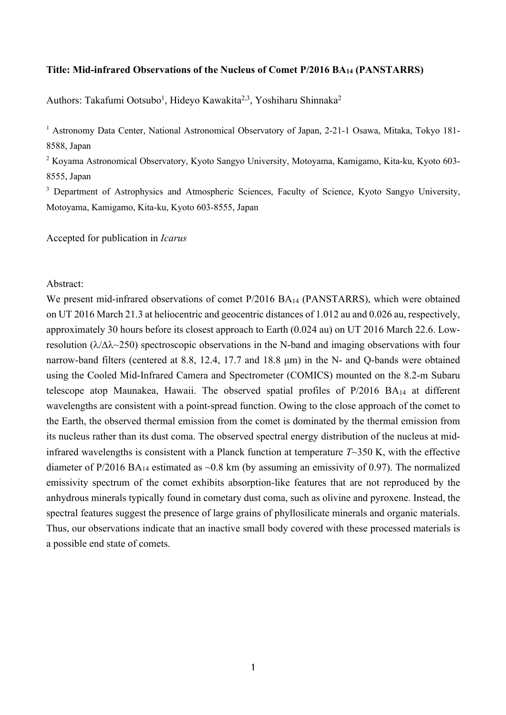# **Title: Mid-infrared Observations of the Nucleus of Comet P/2016 BA14 (PANSTARRS)**

Authors: Takafumi Ootsubo<sup>1</sup>, Hideyo Kawakita<sup>2,3</sup>, Yoshiharu Shinnaka<sup>2</sup>

<sup>1</sup> Astronomy Data Center, National Astronomical Observatory of Japan, 2-21-1 Osawa, Mitaka, Tokyo 181-8588, Japan

<sup>2</sup> Koyama Astronomical Observatory, Kyoto Sangyo University, Motoyama, Kamigamo, Kita-ku, Kyoto 603- 8555, Japan

<sup>3</sup> Department of Astrophysics and Atmospheric Sciences, Faculty of Science, Kyoto Sangyo University, Motoyama, Kamigamo, Kita-ku, Kyoto 603-8555, Japan

Accepted for publication in *Icarus*

Abstract:

We present mid-infrared observations of comet P/2016 BA<sub>14</sub> (PANSTARRS), which were obtained on UT 2016 March 21.3 at heliocentric and geocentric distances of 1.012 au and 0.026 au, respectively, approximately 30 hours before its closest approach to Earth (0.024 au) on UT 2016 March 22.6. Lowresolution ( $\lambda/\Delta\lambda$  -250) spectroscopic observations in the N-band and imaging observations with four narrow-band filters (centered at 8.8, 12.4, 17.7 and 18.8 μm) in the N- and Q-bands were obtained using the Cooled Mid-Infrared Camera and Spectrometer (COMICS) mounted on the 8.2-m Subaru telescope atop Maunakea, Hawaii. The observed spatial profiles of P/2016 BA14 at different wavelengths are consistent with a point-spread function. Owing to the close approach of the comet to the Earth, the observed thermal emission from the comet is dominated by the thermal emission from its nucleus rather than its dust coma. The observed spectral energy distribution of the nucleus at midinfrared wavelengths is consistent with a Planck function at temperature *T*~350 K, with the effective diameter of P/2016 BA<sub>14</sub> estimated as  $\sim 0.8$  km (by assuming an emissivity of 0.97). The normalized emissivity spectrum of the comet exhibits absorption-like features that are not reproduced by the anhydrous minerals typically found in cometary dust coma, such as olivine and pyroxene. Instead, the spectral features suggest the presence of large grains of phyllosilicate minerals and organic materials. Thus, our observations indicate that an inactive small body covered with these processed materials is a possible end state of comets.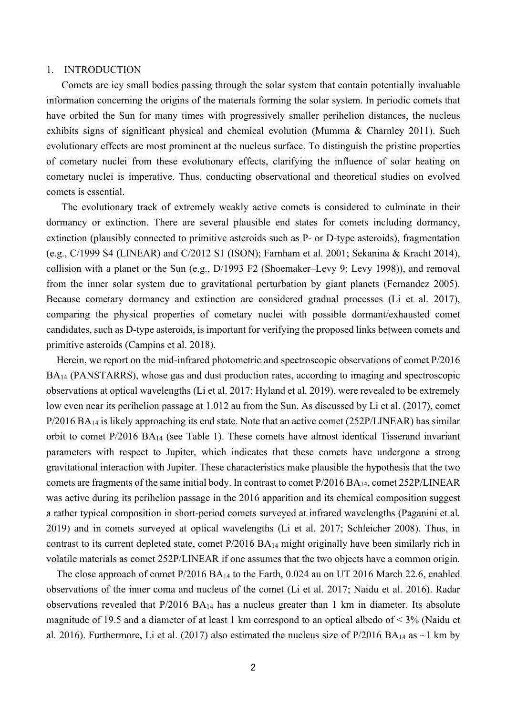#### 1. INTRODUCTION

Comets are icy small bodies passing through the solar system that contain potentially invaluable information concerning the origins of the materials forming the solar system. In periodic comets that have orbited the Sun for many times with progressively smaller perihelion distances, the nucleus exhibits signs of significant physical and chemical evolution (Mumma & Charnley 2011). Such evolutionary effects are most prominent at the nucleus surface. To distinguish the pristine properties of cometary nuclei from these evolutionary effects, clarifying the influence of solar heating on cometary nuclei is imperative. Thus, conducting observational and theoretical studies on evolved comets is essential.

The evolutionary track of extremely weakly active comets is considered to culminate in their dormancy or extinction. There are several plausible end states for comets including dormancy, extinction (plausibly connected to primitive asteroids such as P- or D-type asteroids), fragmentation (e.g., C/1999 S4 (LINEAR) and C/2012 S1 (ISON); Farnham et al. 2001; Sekanina & Kracht 2014), collision with a planet or the Sun (e.g., D/1993 F2 (Shoemaker–Levy 9; Levy 1998)), and removal from the inner solar system due to gravitational perturbation by giant planets (Fernandez 2005). Because cometary dormancy and extinction are considered gradual processes (Li et al. 2017), comparing the physical properties of cometary nuclei with possible dormant/exhausted comet candidates, such as D-type asteroids, is important for verifying the proposed links between comets and primitive asteroids (Campins et al. 2018).

Herein, we report on the mid-infrared photometric and spectroscopic observations of comet P/2016 BA14 (PANSTARRS), whose gas and dust production rates, according to imaging and spectroscopic observations at optical wavelengths (Li et al. 2017; Hyland et al. 2019), were revealed to be extremely low even near its perihelion passage at 1.012 au from the Sun. As discussed by Li et al. (2017), comet  $P/2016 B A_{14}$  is likely approaching its end state. Note that an active comet (252P/LINEAR) has similar orbit to comet P/2016 BA14 (see Table 1). These comets have almost identical Tisserand invariant parameters with respect to Jupiter, which indicates that these comets have undergone a strong gravitational interaction with Jupiter. These characteristics make plausible the hypothesis that the two comets are fragments of the same initial body. In contrast to comet P/2016 BA14, comet 252P/LINEAR was active during its perihelion passage in the 2016 apparition and its chemical composition suggest a rather typical composition in short-period comets surveyed at infrared wavelengths (Paganini et al. 2019) and in comets surveyed at optical wavelengths (Li et al. 2017; Schleicher 2008). Thus, in contrast to its current depleted state, comet P/2016 BA14 might originally have been similarly rich in volatile materials as comet 252P/LINEAR if one assumes that the two objects have a common origin.

The close approach of comet P/2016 BA<sub>14</sub> to the Earth, 0.024 au on UT 2016 March 22.6, enabled observations of the inner coma and nucleus of the comet (Li et al. 2017; Naidu et al. 2016). Radar observations revealed that  $P/2016$   $BA_{14}$  has a nucleus greater than 1 km in diameter. Its absolute magnitude of 19.5 and a diameter of at least 1 km correspond to an optical albedo of < 3% (Naidu et al. 2016). Furthermore, Li et al. (2017) also estimated the nucleus size of P/2016 BA<sub>14</sub> as ~1 km by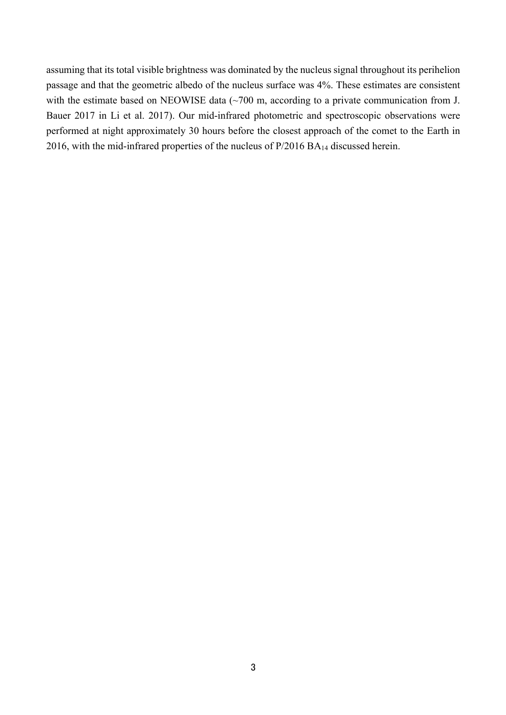assuming that its total visible brightness was dominated by the nucleus signal throughout its perihelion passage and that the geometric albedo of the nucleus surface was 4%. These estimates are consistent with the estimate based on NEOWISE data (~700 m, according to a private communication from J. Bauer 2017 in Li et al. 2017). Our mid-infrared photometric and spectroscopic observations were performed at night approximately 30 hours before the closest approach of the comet to the Earth in 2016, with the mid-infrared properties of the nucleus of P/2016 BA14 discussed herein.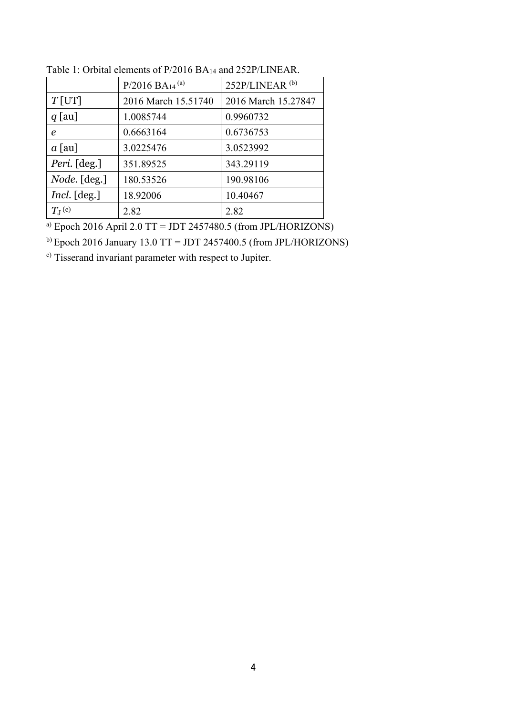| $P/2016$ BA <sub>14</sub> <sup>(a)</sup> | 252P/LINEAR <sup>(b)</sup> |
|------------------------------------------|----------------------------|
| 2016 March 15.51740                      | 2016 March 15.27847        |
| 1.0085744                                | 0.9960732                  |
| 0.6663164                                | 0.6736753                  |
| 3.0225476                                | 3.0523992                  |
| 351.89525                                | 343.29119                  |
| 180.53526                                | 190.98106                  |
| 18.92006                                 | 10.40467                   |
| 2.82                                     | 2.82                       |
|                                          |                            |

Table 1: Orbital elements of P/2016 BA14 and 252P/LINEAR.

a) Epoch 2016 April 2.0 TT = JDT 2457480.5 (from JPL/HORIZONS)

 $b)$  Epoch 2016 January 13.0 TT = JDT 2457400.5 (from JPL/HORIZONS)

c) Tisserand invariant parameter with respect to Jupiter.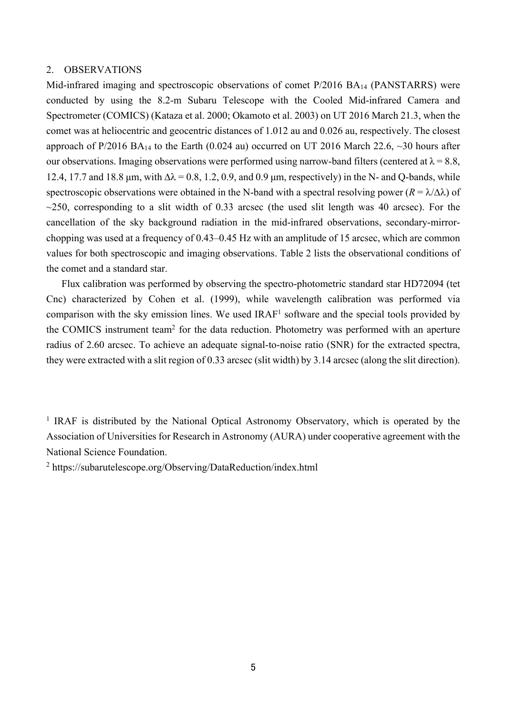## 2. OBSERVATIONS

Mid-infrared imaging and spectroscopic observations of comet P/2016 BA14 (PANSTARRS) were conducted by using the 8.2-m Subaru Telescope with the Cooled Mid-infrared Camera and Spectrometer (COMICS) (Kataza et al. 2000; Okamoto et al. 2003) on UT 2016 March 21.3, when the comet was at heliocentric and geocentric distances of 1.012 au and 0.026 au, respectively. The closest approach of P/2016 BA<sub>14</sub> to the Earth (0.024 au) occurred on UT 2016 March 22.6,  $\sim$ 30 hours after our observations. Imaging observations were performed using narrow-band filters (centered at  $\lambda = 8.8$ , 12.4, 17.7 and 18.8  $\mu$ m, with  $\Delta \lambda = 0.8$ , 1.2, 0.9, and 0.9  $\mu$ m, respectively) in the N- and Q-bands, while spectroscopic observations were obtained in the N-band with a spectral resolving power  $(R = \lambda/\Delta\lambda)$  of  $\sim$ 250, corresponding to a slit width of 0.33 arcsec (the used slit length was 40 arcsec). For the cancellation of the sky background radiation in the mid-infrared observations, secondary-mirrorchopping was used at a frequency of 0.43–0.45 Hz with an amplitude of 15 arcsec, which are common values for both spectroscopic and imaging observations. Table 2 lists the observational conditions of the comet and a standard star.

 Flux calibration was performed by observing the spectro-photometric standard star HD72094 (tet Cnc) characterized by Cohen et al. (1999), while wavelength calibration was performed via comparison with the sky emission lines. We used IRAF1 software and the special tools provided by the COMICS instrument team<sup>2</sup> for the data reduction. Photometry was performed with an aperture radius of 2.60 arcsec. To achieve an adequate signal-to-noise ratio (SNR) for the extracted spectra, they were extracted with a slit region of 0.33 arcsec (slit width) by 3.14 arcsec (along the slit direction).

<sup>1</sup> IRAF is distributed by the National Optical Astronomy Observatory, which is operated by the Association of Universities for Research in Astronomy (AURA) under cooperative agreement with the National Science Foundation.

<sup>2</sup> https://subarutelescope.org/Observing/DataReduction/index.html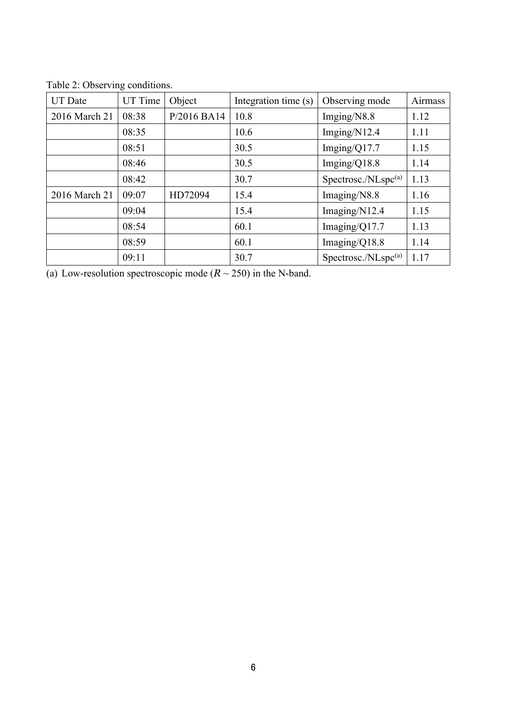| <b>UT</b> Date | UT Time | Object      | Integration time (s) | Observing mode                  | Airmass |
|----------------|---------|-------------|----------------------|---------------------------------|---------|
| 2016 March 21  | 08:38   | P/2016 BA14 | 10.8                 | Imging/N8.8                     | 1.12    |
|                | 08:35   |             | 10.6                 | Imging/N12.4                    | 1.11    |
|                | 08:51   |             | 30.5                 | Imging/ $Q17.7$                 | 1.15    |
|                | 08:46   |             | 30.5                 | Imging/ $Q18.8$                 | 1.14    |
|                | 08:42   |             | 30.7                 | Spectrosc./NLspc <sup>(a)</sup> | 1.13    |
| 2016 March 21  | 09:07   | HD72094     | 15.4                 | Imaging/N8.8                    | 1.16    |
|                | 09:04   |             | 15.4                 | Imaging/N12.4                   | 1.15    |
|                | 08:54   |             | 60.1                 | Imaging/Q17.7                   | 1.13    |
|                | 08:59   |             | 60.1                 | Imaging/ $Q18.8$                | 1.14    |
|                | 09:11   |             | 30.7                 | Spectrosc./NLspc(a)             | 1.17    |

Table 2: Observing conditions.

(a) Low-resolution spectroscopic mode  $(R \sim 250)$  in the N-band.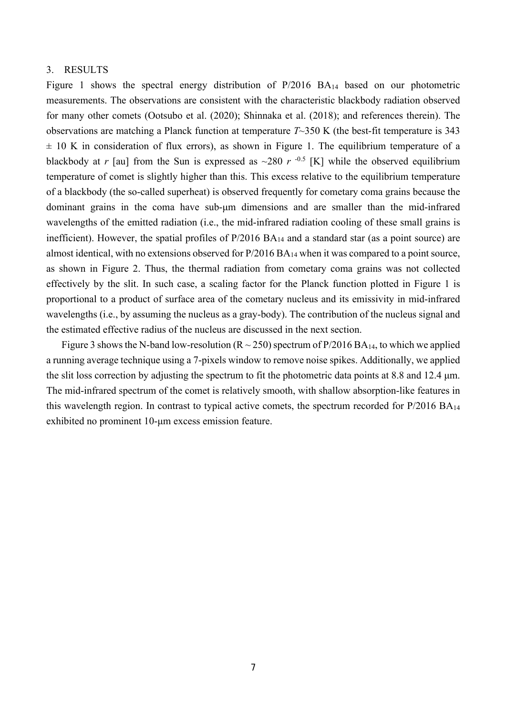## 3. RESULTS

Figure 1 shows the spectral energy distribution of P/2016 BA<sub>14</sub> based on our photometric measurements. The observations are consistent with the characteristic blackbody radiation observed for many other comets (Ootsubo et al. (2020); Shinnaka et al. (2018); and references therein). The observations are matching a Planck function at temperature *T*~350 K (the best-fit temperature is 343  $\pm$  10 K in consideration of flux errors), as shown in Figure 1. The equilibrium temperature of a blackbody at *r* [au] from the Sun is expressed as  $\sim$ 280 *r* <sup>-0.5</sup> [K] while the observed equilibrium temperature of comet is slightly higher than this. This excess relative to the equilibrium temperature of a blackbody (the so-called superheat) is observed frequently for cometary coma grains because the dominant grains in the coma have sub-μm dimensions and are smaller than the mid-infrared wavelengths of the emitted radiation (i.e., the mid-infrared radiation cooling of these small grains is inefficient). However, the spatial profiles of P/2016 BA14 and a standard star (as a point source) are almost identical, with no extensions observed for P/2016 BA14 when it was compared to a point source, as shown in Figure 2. Thus, the thermal radiation from cometary coma grains was not collected effectively by the slit. In such case, a scaling factor for the Planck function plotted in Figure 1 is proportional to a product of surface area of the cometary nucleus and its emissivity in mid-infrared wavelengths (i.e., by assuming the nucleus as a gray-body). The contribution of the nucleus signal and the estimated effective radius of the nucleus are discussed in the next section.

Figure 3 shows the N-band low-resolution ( $R \sim 250$ ) spectrum of P/2016 BA<sub>14</sub>, to which we applied a running average technique using a 7-pixels window to remove noise spikes. Additionally, we applied the slit loss correction by adjusting the spectrum to fit the photometric data points at 8.8 and 12.4 μm. The mid-infrared spectrum of the comet is relatively smooth, with shallow absorption-like features in this wavelength region. In contrast to typical active comets, the spectrum recorded for P/2016 BA14 exhibited no prominent 10-μm excess emission feature.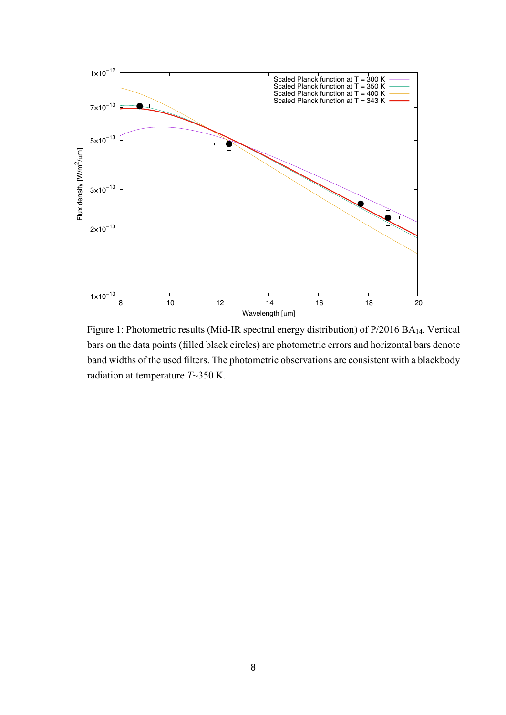

Figure 1: Photometric results (Mid-IR spectral energy distribution) of P/2016 BA14. Vertical bars on the data points (filled black circles) are photometric errors and horizontal bars denote band widths of the used filters. The photometric observations are consistent with a blackbody radiation at temperature *T*~350 K.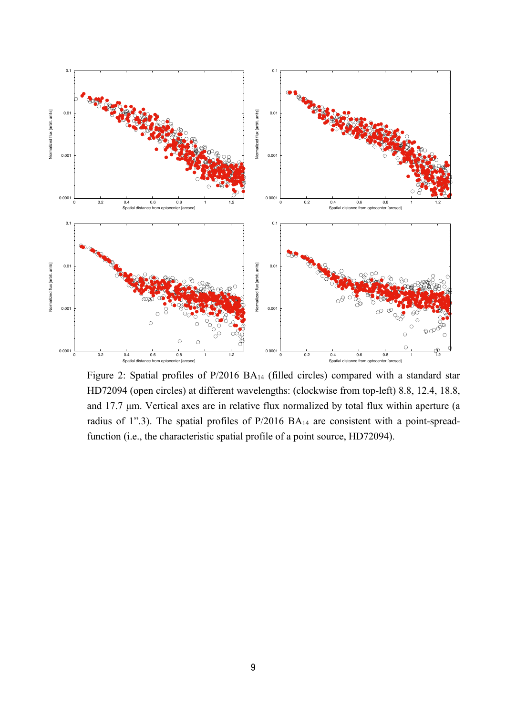

Figure 2: Spatial profiles of P/2016 BA14 (filled circles) compared with a standard star HD72094 (open circles) at different wavelengths: (clockwise from top-left) 8.8, 12.4, 18.8, and 17.7 μm. Vertical axes are in relative flux normalized by total flux within aperture (a radius of 1".3). The spatial profiles of P/2016 BA<sub>14</sub> are consistent with a point-spreadfunction (i.e., the characteristic spatial profile of a point source, HD72094).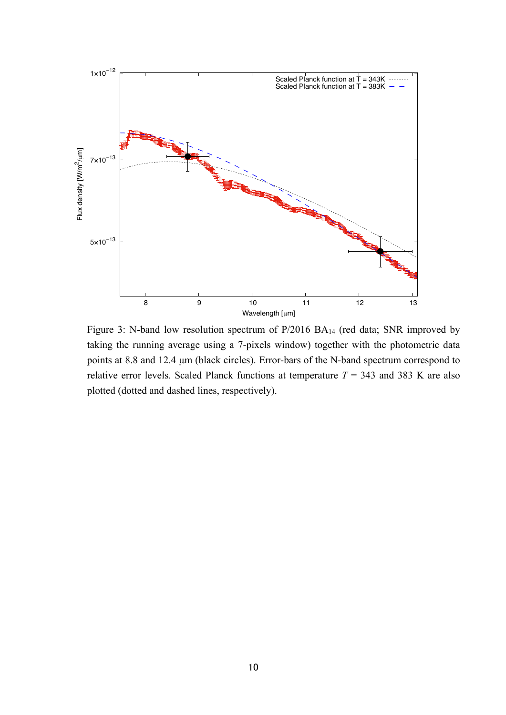

Figure 3: N-band low resolution spectrum of P/2016 BA14 (red data; SNR improved by taking the running average using a 7-pixels window) together with the photometric data points at 8.8 and 12.4 μm (black circles). Error-bars of the N-band spectrum correspond to relative error levels. Scaled Planck functions at temperature  $T = 343$  and 383 K are also plotted (dotted and dashed lines, respectively).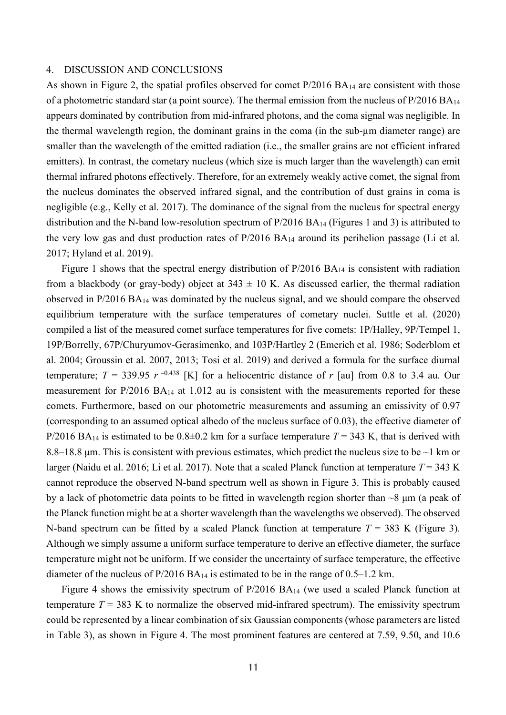## 4. DISCUSSION AND CONCLUSIONS

As shown in Figure 2, the spatial profiles observed for comet P/2016 BA<sub>14</sub> are consistent with those of a photometric standard star (a point source). The thermal emission from the nucleus of  $P/2016 BA_{14}$ appears dominated by contribution from mid-infrared photons, and the coma signal was negligible. In the thermal wavelength region, the dominant grains in the coma (in the sub-µm diameter range) are smaller than the wavelength of the emitted radiation (i.e., the smaller grains are not efficient infrared emitters). In contrast, the cometary nucleus (which size is much larger than the wavelength) can emit thermal infrared photons effectively. Therefore, for an extremely weakly active comet, the signal from the nucleus dominates the observed infrared signal, and the contribution of dust grains in coma is negligible (e.g., Kelly et al. 2017). The dominance of the signal from the nucleus for spectral energy distribution and the N-band low-resolution spectrum of P/2016 BA14 (Figures 1 and 3) is attributed to the very low gas and dust production rates of  $P/2016$  BA<sub>14</sub> around its perihelion passage (Li et al. 2017; Hyland et al. 2019).

Figure 1 shows that the spectral energy distribution of P/2016 BA<sub>14</sub> is consistent with radiation from a blackbody (or gray-body) object at  $343 \pm 10$  K. As discussed earlier, the thermal radiation observed in P/2016 BA14 was dominated by the nucleus signal, and we should compare the observed equilibrium temperature with the surface temperatures of cometary nuclei. Suttle et al. (2020) compiled a list of the measured comet surface temperatures for five comets: 1P/Halley, 9P/Tempel 1, 19P/Borrelly, 67P/Churyumov-Gerasimenko, and 103P/Hartley 2 (Emerich et al. 1986; Soderblom et al. 2004; Groussin et al. 2007, 2013; Tosi et al. 2019) and derived a formula for the surface diurnal temperature;  $T = 339.95 r^{-0.438}$  [K] for a heliocentric distance of r [au] from 0.8 to 3.4 au. Our measurement for P/2016 BA14 at 1.012 au is consistent with the measurements reported for these comets. Furthermore, based on our photometric measurements and assuming an emissivity of 0.97 (corresponding to an assumed optical albedo of the nucleus surface of 0.03), the effective diameter of P/2016 BA<sub>14</sub> is estimated to be  $0.8\pm0.2$  km for a surface temperature  $T = 343$  K, that is derived with 8.8–18.8 μm. This is consistent with previous estimates, which predict the nucleus size to be ~1 km or larger (Naidu et al. 2016; Li et al. 2017). Note that a scaled Planck function at temperature  $T = 343$  K cannot reproduce the observed N-band spectrum well as shown in Figure 3. This is probably caused by a lack of photometric data points to be fitted in wavelength region shorter than ~8 μm (a peak of the Planck function might be at a shorter wavelength than the wavelengths we observed). The observed N-band spectrum can be fitted by a scaled Planck function at temperature  $T = 383$  K (Figure 3). Although we simply assume a uniform surface temperature to derive an effective diameter, the surface temperature might not be uniform. If we consider the uncertainty of surface temperature, the effective diameter of the nucleus of  $P/2016 B A_{14}$  is estimated to be in the range of 0.5–1.2 km.

Figure 4 shows the emissivity spectrum of P/2016 BA<sub>14</sub> (we used a scaled Planck function at temperature  $T = 383$  K to normalize the observed mid-infrared spectrum). The emissivity spectrum could be represented by a linear combination of six Gaussian components (whose parameters are listed in Table 3), as shown in Figure 4. The most prominent features are centered at 7.59, 9.50, and 10.6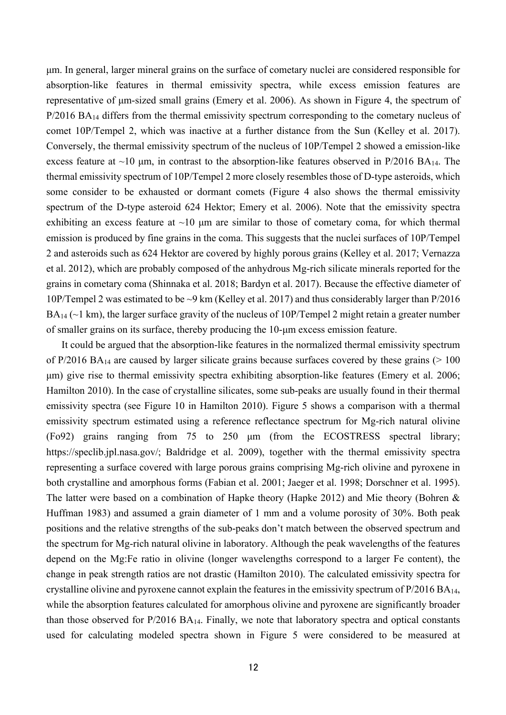μm. In general, larger mineral grains on the surface of cometary nuclei are considered responsible for absorption-like features in thermal emissivity spectra, while excess emission features are representative of μm-sized small grains (Emery et al. 2006). As shown in Figure 4, the spectrum of P/2016 BA<sub>14</sub> differs from the thermal emissivity spectrum corresponding to the cometary nucleus of comet 10P/Tempel 2, which was inactive at a further distance from the Sun (Kelley et al. 2017). Conversely, the thermal emissivity spectrum of the nucleus of 10P/Tempel 2 showed a emission-like excess feature at  $\sim$ 10 µm, in contrast to the absorption-like features observed in P/2016 BA<sub>14</sub>. The thermal emissivity spectrum of 10P/Tempel 2 more closely resembles those of D-type asteroids, which some consider to be exhausted or dormant comets (Figure 4 also shows the thermal emissivity spectrum of the D-type asteroid 624 Hektor; Emery et al. 2006). Note that the emissivity spectra exhibiting an excess feature at  $\sim 10$  µm are similar to those of cometary coma, for which thermal emission is produced by fine grains in the coma. This suggests that the nuclei surfaces of 10P/Tempel 2 and asteroids such as 624 Hektor are covered by highly porous grains (Kelley et al. 2017; Vernazza et al. 2012), which are probably composed of the anhydrous Mg-rich silicate minerals reported for the grains in cometary coma (Shinnaka et al. 2018; Bardyn et al. 2017). Because the effective diameter of 10P/Tempel 2 was estimated to be ~9 km (Kelley et al. 2017) and thus considerably larger than P/2016  $BA_{14}$  ( $\sim$ 1 km), the larger surface gravity of the nucleus of 10P/Tempel 2 might retain a greater number of smaller grains on its surface, thereby producing the 10-μm excess emission feature.

It could be argued that the absorption-like features in the normalized thermal emissivity spectrum of P/2016 BA<sub>14</sub> are caused by larger silicate grains because surfaces covered by these grains ( $> 100$ ) μm) give rise to thermal emissivity spectra exhibiting absorption-like features (Emery et al. 2006; Hamilton 2010). In the case of crystalline silicates, some sub-peaks are usually found in their thermal emissivity spectra (see Figure 10 in Hamilton 2010). Figure 5 shows a comparison with a thermal emissivity spectrum estimated using a reference reflectance spectrum for Mg-rich natural olivine (Fo92) grains ranging from 75 to 250 μm (from the ECOSTRESS spectral library; https://speclib.jpl.nasa.gov/; Baldridge et al. 2009), together with the thermal emissivity spectra representing a surface covered with large porous grains comprising Mg-rich olivine and pyroxene in both crystalline and amorphous forms (Fabian et al. 2001; Jaeger et al. 1998; Dorschner et al. 1995). The latter were based on a combination of Hapke theory (Hapke 2012) and Mie theory (Bohren & Huffman 1983) and assumed a grain diameter of 1 mm and a volume porosity of 30%. Both peak positions and the relative strengths of the sub-peaks don't match between the observed spectrum and the spectrum for Mg-rich natural olivine in laboratory. Although the peak wavelengths of the features depend on the Mg:Fe ratio in olivine (longer wavelengths correspond to a larger Fe content), the change in peak strength ratios are not drastic (Hamilton 2010). The calculated emissivity spectra for crystalline olivine and pyroxene cannot explain the features in the emissivity spectrum of  $P/2016 BA_{14}$ , while the absorption features calculated for amorphous olivine and pyroxene are significantly broader than those observed for  $P/2016 BA_{14}$ . Finally, we note that laboratory spectra and optical constants used for calculating modeled spectra shown in Figure 5 were considered to be measured at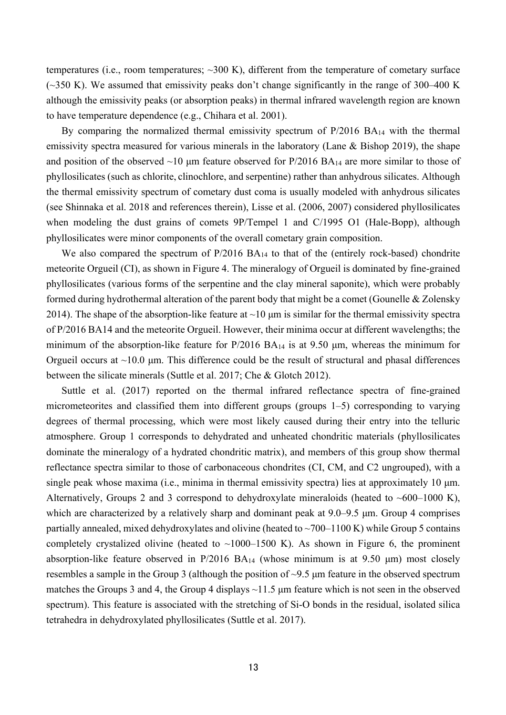temperatures (i.e., room temperatures; ~300 K), different from the temperature of cometary surface  $(-350 \text{ K})$ . We assumed that emissivity peaks don't change significantly in the range of 300–400 K although the emissivity peaks (or absorption peaks) in thermal infrared wavelength region are known to have temperature dependence (e.g., Chihara et al. 2001).

By comparing the normalized thermal emissivity spectrum of P/2016 BA<sub>14</sub> with the thermal emissivity spectra measured for various minerals in the laboratory (Lane & Bishop 2019), the shape and position of the observed  $~10$  µm feature observed for P/2016 BA<sub>14</sub> are more similar to those of phyllosilicates (such as chlorite, clinochlore, and serpentine) rather than anhydrous silicates. Although the thermal emissivity spectrum of cometary dust coma is usually modeled with anhydrous silicates (see Shinnaka et al. 2018 and references therein), Lisse et al. (2006, 2007) considered phyllosilicates when modeling the dust grains of comets 9P/Tempel 1 and C/1995 O1 (Hale-Bopp), although phyllosilicates were minor components of the overall cometary grain composition.

We also compared the spectrum of P/2016 BA<sub>14</sub> to that of the (entirely rock-based) chondrite meteorite Orgueil (CI), as shown in Figure 4. The mineralogy of Orgueil is dominated by fine-grained phyllosilicates (various forms of the serpentine and the clay mineral saponite), which were probably formed during hydrothermal alteration of the parent body that might be a comet (Gounelle & Zolensky 2014). The shape of the absorption-like feature at  $\sim$ 10  $\mu$ m is similar for the thermal emissivity spectra of P/2016 BA14 and the meteorite Orgueil. However, their minima occur at different wavelengths; the minimum of the absorption-like feature for P/2016 BA14 is at 9.50 μm, whereas the minimum for Orgueil occurs at ~10.0 μm. This difference could be the result of structural and phasal differences between the silicate minerals (Suttle et al. 2017; Che & Glotch 2012).

Suttle et al. (2017) reported on the thermal infrared reflectance spectra of fine-grained micrometeorites and classified them into different groups (groups 1–5) corresponding to varying degrees of thermal processing, which were most likely caused during their entry into the telluric atmosphere. Group 1 corresponds to dehydrated and unheated chondritic materials (phyllosilicates dominate the mineralogy of a hydrated chondritic matrix), and members of this group show thermal reflectance spectra similar to those of carbonaceous chondrites (CI, CM, and C2 ungrouped), with a single peak whose maxima (i.e., minima in thermal emissivity spectra) lies at approximately 10 μm. Alternatively, Groups 2 and 3 correspond to dehydroxylate mineraloids (heated to  $~600-1000$  K), which are characterized by a relatively sharp and dominant peak at 9.0–9.5 μm. Group 4 comprises partially annealed, mixed dehydroxylates and olivine (heated to  $\sim$ 700–1100 K) while Group 5 contains completely crystalized olivine (heated to  $\sim$ 1000–1500 K). As shown in Figure 6, the prominent absorption-like feature observed in  $P/2016$   $BA_{14}$  (whose minimum is at 9.50 µm) most closely resembles a sample in the Group 3 (although the position of ~9.5 μm feature in the observed spectrum matches the Groups 3 and 4, the Group 4 displays ~11.5 μm feature which is not seen in the observed spectrum). This feature is associated with the stretching of Si-O bonds in the residual, isolated silica tetrahedra in dehydroxylated phyllosilicates (Suttle et al. 2017).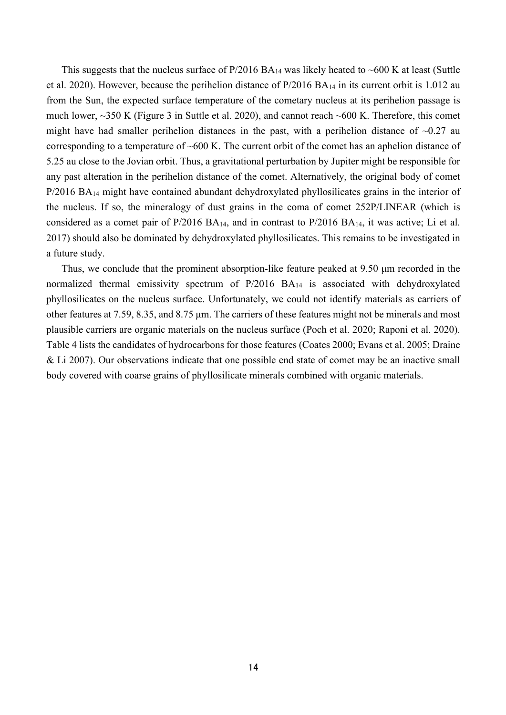This suggests that the nucleus surface of  $P/2016 B A_{14}$  was likely heated to ~600 K at least (Suttle et al. 2020). However, because the perihelion distance of P/2016 BA14 in its current orbit is 1.012 au from the Sun, the expected surface temperature of the cometary nucleus at its perihelion passage is much lower, ~350 K (Figure 3 in Suttle et al. 2020), and cannot reach ~600 K. Therefore, this comet might have had smaller perihelion distances in the past, with a perihelion distance of  $\sim 0.27$  au corresponding to a temperature of ~600 K. The current orbit of the comet has an aphelion distance of 5.25 au close to the Jovian orbit. Thus, a gravitational perturbation by Jupiter might be responsible for any past alteration in the perihelion distance of the comet. Alternatively, the original body of comet P/2016 BA<sub>14</sub> might have contained abundant dehydroxylated phyllosilicates grains in the interior of the nucleus. If so, the mineralogy of dust grains in the coma of comet 252P/LINEAR (which is considered as a comet pair of P/2016 BA14, and in contrast to P/2016 BA14, it was active; Li et al. 2017) should also be dominated by dehydroxylated phyllosilicates. This remains to be investigated in a future study.

Thus, we conclude that the prominent absorption-like feature peaked at 9.50 μm recorded in the normalized thermal emissivity spectrum of P/2016 BA14 is associated with dehydroxylated phyllosilicates on the nucleus surface. Unfortunately, we could not identify materials as carriers of other features at 7.59, 8.35, and 8.75 μm. The carriers of these features might not be minerals and most plausible carriers are organic materials on the nucleus surface (Poch et al. 2020; Raponi et al. 2020). Table 4 lists the candidates of hydrocarbons for those features (Coates 2000; Evans et al. 2005; Draine & Li 2007). Our observations indicate that one possible end state of comet may be an inactive small body covered with coarse grains of phyllosilicate minerals combined with organic materials.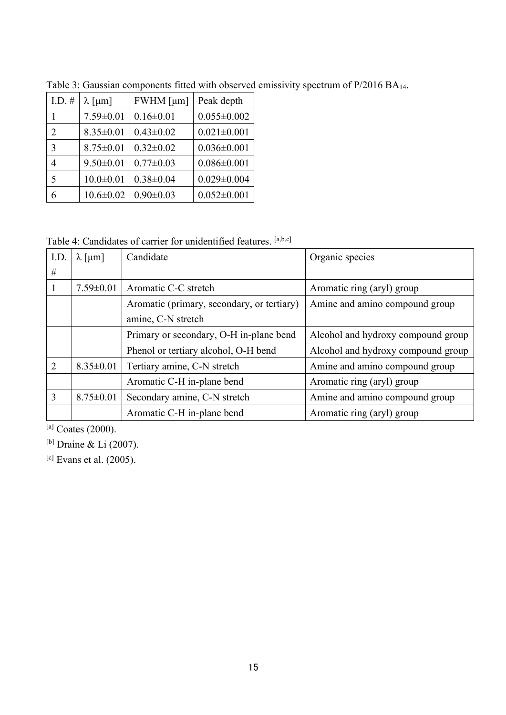| I.D. $#$       | $\lambda$ [µm]  | $FWHM$ [ $\mu$ m] | Peak depth        |
|----------------|-----------------|-------------------|-------------------|
|                | $7.59 \pm 0.01$ | $0.16 \pm 0.01$   | $0.055 \pm 0.002$ |
| $\mathfrak{D}$ | $8.35 \pm 0.01$ | $0.43 \pm 0.02$   | $0.021 \pm 0.001$ |
| 3              | $8.75 \pm 0.01$ | $0.32 \pm 0.02$   | $0.036 \pm 0.001$ |
| 4              | $9.50 \pm 0.01$ | $0.77 \pm 0.03$   | $0.086 \pm 0.001$ |
| 5              | $10.0 \pm 0.01$ | $0.38 \pm 0.04$   | $0.029 \pm 0.004$ |
| 6              | $10.6 \pm 0.02$ | $0.90 \pm 0.03$   | $0.052 \pm 0.001$ |

Table 3: Gaussian components fitted with observed emissivity spectrum of P/2016 BA14.

Table 4: Candidates of carrier for unidentified features. [a,b,c]

| I.D.           | $\lambda$ [µm]  | Candidate                                  | Organic species                    |
|----------------|-----------------|--------------------------------------------|------------------------------------|
| #              |                 |                                            |                                    |
|                | $7.59 \pm 0.01$ | Aromatic C-C stretch                       | Aromatic ring (aryl) group         |
|                |                 | Aromatic (primary, secondary, or tertiary) | Amine and amino compound group     |
|                |                 | amine, C-N stretch                         |                                    |
|                |                 | Primary or secondary, O-H in-plane bend    | Alcohol and hydroxy compound group |
|                |                 | Phenol or tertiary alcohol, O-H bend       | Alcohol and hydroxy compound group |
| $\overline{2}$ | $8.35 \pm 0.01$ | Tertiary amine, C-N stretch                | Amine and amino compound group     |
|                |                 | Aromatic C-H in-plane bend                 | Aromatic ring (aryl) group         |
| 3              | $8.75 \pm 0.01$ | Secondary amine, C-N stretch               | Amine and amino compound group     |
|                |                 | Aromatic C-H in-plane bend                 | Aromatic ring (aryl) group         |

[a] Coates (2000).

[b] Draine & Li (2007).

[c] Evans et al. (2005).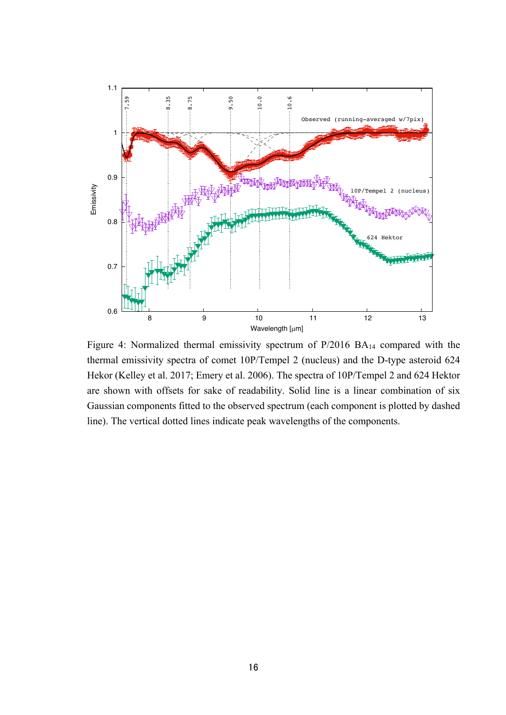

Figure 4: Normalized thermal emissivity spectrum of P/2016 BA14 compared with the thermal emissivity spectra of comet 10P/Tempel 2 (nucleus) and the D-type asteroid 624 Hekor (Kelley et al. 2017; Emery et al. 2006). The spectra of 10P/Tempel 2 and 624 Hektor are shown with offsets for sake of readability. Solid line is a linear combination of six Gaussian components fitted to the observed spectrum (each component is plotted by dashed line). The vertical dotted lines indicate peak wavelengths of the components.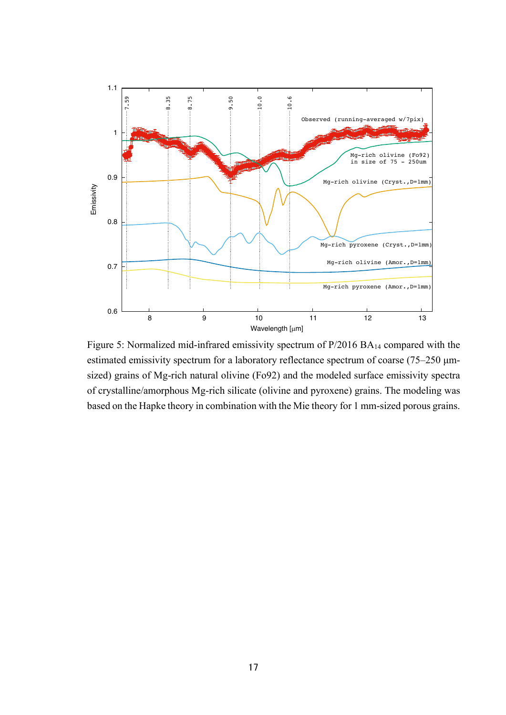

Figure 5: Normalized mid-infrared emissivity spectrum of P/2016 BA14 compared with the estimated emissivity spectrum for a laboratory reflectance spectrum of coarse (75–250 μmsized) grains of Mg-rich natural olivine (Fo92) and the modeled surface emissivity spectra of crystalline/amorphous Mg-rich silicate (olivine and pyroxene) grains. The modeling was based on the Hapke theory in combination with the Mie theory for 1 mm-sized porous grains.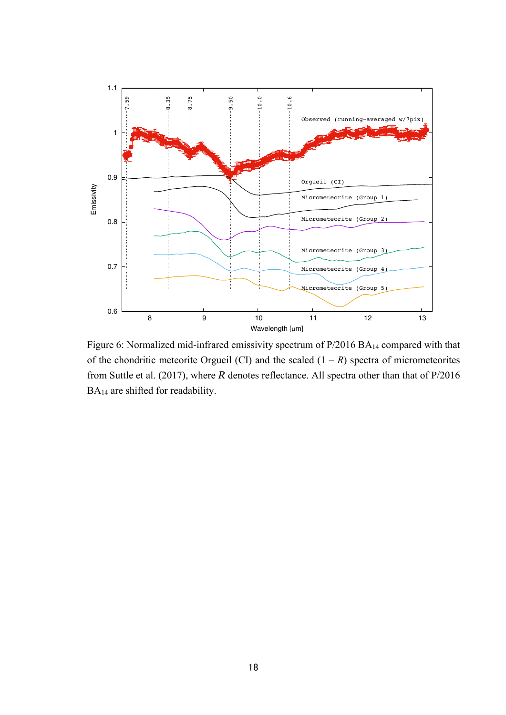

Figure 6: Normalized mid-infrared emissivity spectrum of P/2016 BA14 compared with that of the chondritic meteorite Orgueil (CI) and the scaled  $(1 - R)$  spectra of micrometeorites from Suttle et al. (2017), where *R* denotes reflectance. All spectra other than that of P/2016 BA14 are shifted for readability.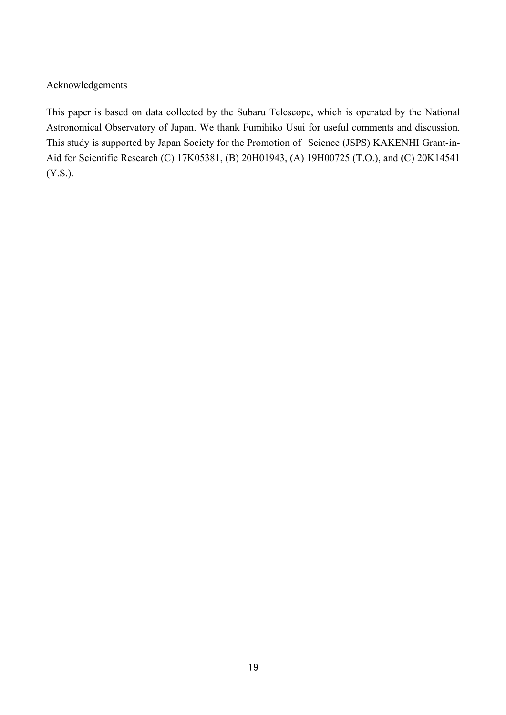Acknowledgements

This paper is based on data collected by the Subaru Telescope, which is operated by the National Astronomical Observatory of Japan. We thank Fumihiko Usui for useful comments and discussion. This study is supported by Japan Society for the Promotion of Science (JSPS) KAKENHI Grant-in-Aid for Scientific Research (C) 17K05381, (B) 20H01943, (A) 19H00725 (T.O.), and (C) 20K14541 (Y.S.).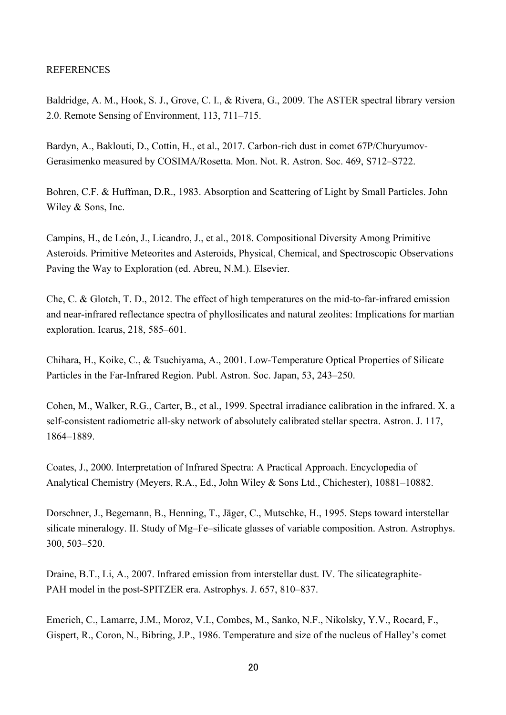# REFERENCES

Baldridge, A. M., Hook, S. J., Grove, C. I., & Rivera, G., 2009. The ASTER spectral library version 2.0. Remote Sensing of Environment, 113, 711–715.

Bardyn, A., Baklouti, D., Cottin, H., et al., 2017. Carbon-rich dust in comet 67P/Churyumov-Gerasimenko measured by COSIMA/Rosetta. Mon. Not. R. Astron. Soc. 469, S712–S722.

Bohren, C.F. & Huffman, D.R., 1983. Absorption and Scattering of Light by Small Particles. John Wiley & Sons, Inc.

Campins, H., de León, J., Licandro, J., et al., 2018. Compositional Diversity Among Primitive Asteroids. Primitive Meteorites and Asteroids, Physical, Chemical, and Spectroscopic Observations Paving the Way to Exploration (ed. Abreu, N.M.). Elsevier.

Che, C. & Glotch, T. D., 2012. The effect of high temperatures on the mid-to-far-infrared emission and near-infrared reflectance spectra of phyllosilicates and natural zeolites: Implications for martian exploration. Icarus, 218, 585–601.

Chihara, H., Koike, C., & Tsuchiyama, A., 2001. Low-Temperature Optical Properties of Silicate Particles in the Far-Infrared Region. Publ. Astron. Soc. Japan, 53, 243–250.

Cohen, M., Walker, R.G., Carter, B., et al., 1999. Spectral irradiance calibration in the infrared. X. a self-consistent radiometric all-sky network of absolutely calibrated stellar spectra. Astron. J. 117, 1864–1889.

Coates, J., 2000. Interpretation of Infrared Spectra: A Practical Approach. Encyclopedia of Analytical Chemistry (Meyers, R.A., Ed., John Wiley & Sons Ltd., Chichester), 10881–10882.

Dorschner, J., Begemann, B., Henning, T., Jäger, C., Mutschke, H., 1995. Steps toward interstellar silicate mineralogy. II. Study of Mg–Fe–silicate glasses of variable composition. Astron. Astrophys. 300, 503–520.

Draine, B.T., Li, A., 2007. Infrared emission from interstellar dust. IV. The silicategraphite-PAH model in the post-SPITZER era. Astrophys. J. 657, 810–837.

Emerich, C., Lamarre, J.M., Moroz, V.I., Combes, M., Sanko, N.F., Nikolsky, Y.V., Rocard, F., Gispert, R., Coron, N., Bibring, J.P., 1986. Temperature and size of the nucleus of Halley's comet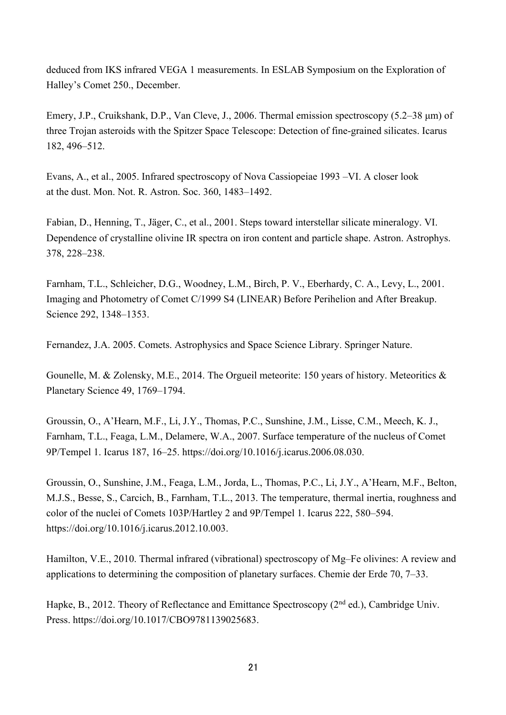deduced from IKS infrared VEGA 1 measurements. In ESLAB Symposium on the Exploration of Halley's Comet 250., December.

Emery, J.P., Cruikshank, D.P., Van Cleve, J., 2006. Thermal emission spectroscopy (5.2–38 μm) of three Trojan asteroids with the Spitzer Space Telescope: Detection of fine-grained silicates. Icarus 182, 496–512.

Evans, A., et al., 2005. Infrared spectroscopy of Nova Cassiopeiae 1993 –VI. A closer look at the dust. Mon. Not. R. Astron. Soc. 360, 1483–1492.

Fabian, D., Henning, T., Jäger, C., et al., 2001. Steps toward interstellar silicate mineralogy. VI. Dependence of crystalline olivine IR spectra on iron content and particle shape. Astron. Astrophys. 378, 228–238.

Farnham, T.L., Schleicher, D.G., Woodney, L.M., Birch, P. V., Eberhardy, C. A., Levy, L., 2001. Imaging and Photometry of Comet C/1999 S4 (LINEAR) Before Perihelion and After Breakup. Science 292, 1348–1353.

Fernandez, J.A. 2005. Comets. Astrophysics and Space Science Library. Springer Nature.

Gounelle, M. & Zolensky, M.E., 2014. The Orgueil meteorite: 150 years of history. Meteoritics & Planetary Science 49, 1769–1794.

Groussin, O., A'Hearn, M.F., Li, J.Y., Thomas, P.C., Sunshine, J.M., Lisse, C.M., Meech, K. J., Farnham, T.L., Feaga, L.M., Delamere, W.A., 2007. Surface temperature of the nucleus of Comet 9P/Tempel 1. Icarus 187, 16–25. https://doi.org/10.1016/j.icarus.2006.08.030.

Groussin, O., Sunshine, J.M., Feaga, L.M., Jorda, L., Thomas, P.C., Li, J.Y., A'Hearn, M.F., Belton, M.J.S., Besse, S., Carcich, B., Farnham, T.L., 2013. The temperature, thermal inertia, roughness and color of the nuclei of Comets 103P/Hartley 2 and 9P/Tempel 1. Icarus 222, 580–594. https://doi.org/10.1016/j.icarus.2012.10.003.

Hamilton, V.E., 2010. Thermal infrared (vibrational) spectroscopy of Mg–Fe olivines: A review and applications to determining the composition of planetary surfaces. Chemie der Erde 70, 7–33.

Hapke, B., 2012. Theory of Reflectance and Emittance Spectroscopy (2<sup>nd</sup> ed.), Cambridge Univ. Press. https://doi.org/10.1017/CBO9781139025683.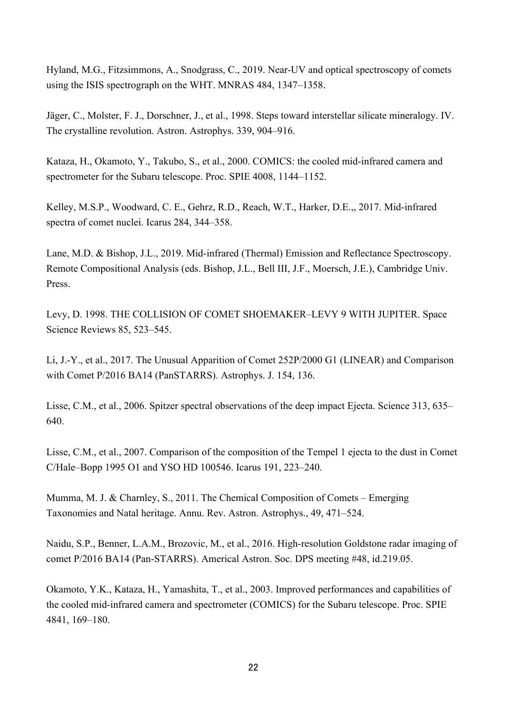Hyland, M.G., Fitzsimmons, A., Snodgrass, C., 2019. Near-UV and optical spectroscopy of comets using the ISIS spectrograph on the WHT. MNRAS 484, 1347–1358.

Jäger, C., Molster, F. J., Dorschner, J., et al., 1998. Steps toward interstellar silicate mineralogy. IV. The crystalline revolution. Astron. Astrophys. 339, 904–916.

Kataza, H., Okamoto, Y., Takubo, S., et al., 2000. COMICS: the cooled mid-infrared camera and spectrometer for the Subaru telescope. Proc. SPIE 4008, 1144–1152.

Kelley, M.S.P., Woodward, C. E., Gehrz, R.D., Reach, W.T., Harker, D.E.,, 2017. Mid-infrared spectra of comet nuclei. Icarus 284, 344–358.

Lane, M.D. & Bishop, J.L., 2019. Mid-infrared (Thermal) Emission and Reflectance Spectroscopy. Remote Compositional Analysis (eds. Bishop, J.L., Bell III, J.F., Moersch, J.E.), Cambridge Univ. Press.

Levy, D. 1998. THE COLLISION OF COMET SHOEMAKER–LEVY 9 WITH JUPITER. Space Science Reviews 85, 523–545.

Li, J.-Y., et al., 2017. The Unusual Apparition of Comet 252P/2000 G1 (LINEAR) and Comparison with Comet P/2016 BA14 (PanSTARRS). Astrophys. J. 154, 136.

Lisse, C.M., et al., 2006. Spitzer spectral observations of the deep impact Ejecta. Science 313, 635– 640.

Lisse, C.M., et al., 2007. Comparison of the composition of the Tempel 1 ejecta to the dust in Comet C/Hale–Bopp 1995 O1 and YSO HD 100546. Icarus 191, 223–240.

Mumma, M. J. & Charnley, S., 2011. The Chemical Composition of Comets – Emerging Taxonomies and Natal heritage. Annu. Rev. Astron. Astrophys., 49, 471–524.

Naidu, S.P., Benner, L.A.M., Brozovic, M., et al., 2016. High-resolution Goldstone radar imaging of comet P/2016 BA14 (Pan-STARRS). Americal Astron. Soc. DPS meeting #48, id.219.05.

Okamoto, Y.K., Kataza, H., Yamashita, T., et al., 2003. Improved performances and capabilities of the cooled mid-infrared camera and spectrometer (COMICS) for the Subaru telescope. Proc. SPIE 4841, 169–180.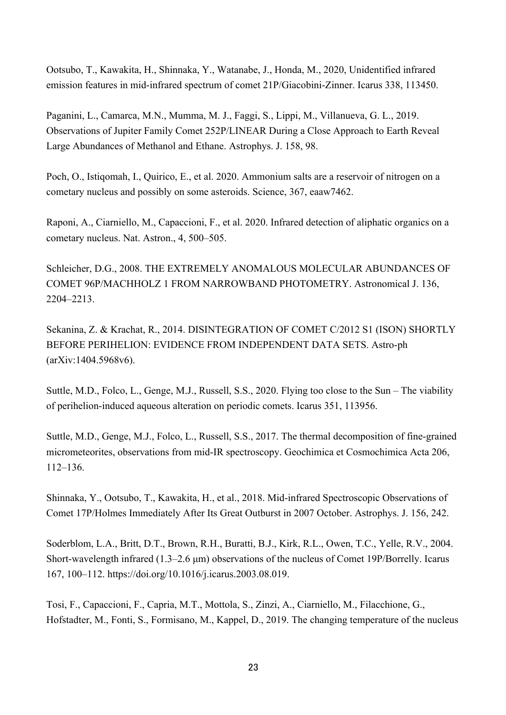Ootsubo, T., Kawakita, H., Shinnaka, Y., Watanabe, J., Honda, M., 2020, Unidentified infrared emission features in mid-infrared spectrum of comet 21P/Giacobini-Zinner. Icarus 338, 113450.

Paganini, L., Camarca, M.N., Mumma, M. J., Faggi, S., Lippi, M., Villanueva, G. L., 2019. Observations of Jupiter Family Comet 252P/LINEAR During a Close Approach to Earth Reveal Large Abundances of Methanol and Ethane. Astrophys. J. 158, 98.

Poch, O., Istiqomah, I., Quirico, E., et al. 2020. Ammonium salts are a reservoir of nitrogen on a cometary nucleus and possibly on some asteroids. Science, 367, eaaw7462.

Raponi, A., Ciarniello, M., Capaccioni, F., et al. 2020. Infrared detection of aliphatic organics on a cometary nucleus. Nat. Astron., 4, 500–505.

Schleicher, D.G., 2008. THE EXTREMELY ANOMALOUS MOLECULAR ABUNDANCES OF COMET 96P/MACHHOLZ 1 FROM NARROWBAND PHOTOMETRY. Astronomical J. 136, 2204–2213.

Sekanina, Z. & Krachat, R., 2014. DISINTEGRATION OF COMET C/2012 S1 (ISON) SHORTLY BEFORE PERIHELION: EVIDENCE FROM INDEPENDENT DATA SETS. Astro-ph (arXiv:1404.5968v6).

Suttle, M.D., Folco, L., Genge, M.J., Russell, S.S., 2020. Flying too close to the Sun – The viability of perihelion-induced aqueous alteration on periodic comets. Icarus 351, 113956.

Suttle, M.D., Genge, M.J., Folco, L., Russell, S.S., 2017. The thermal decomposition of fine-grained micrometeorites, observations from mid-IR spectroscopy. Geochimica et Cosmochimica Acta 206, 112–136.

Shinnaka, Y., Ootsubo, T., Kawakita, H., et al., 2018. Mid-infrared Spectroscopic Observations of Comet 17P/Holmes Immediately After Its Great Outburst in 2007 October. Astrophys. J. 156, 242.

Soderblom, L.A., Britt, D.T., Brown, R.H., Buratti, B.J., Kirk, R.L., Owen, T.C., Yelle, R.V., 2004. Short-wavelength infrared (1.3–2.6 μm) observations of the nucleus of Comet 19P/Borrelly. Icarus 167, 100–112. https://doi.org/10.1016/j.icarus.2003.08.019.

Tosi, F., Capaccioni, F., Capria, M.T., Mottola, S., Zinzi, A., Ciarniello, M., Filacchione, G., Hofstadter, M., Fonti, S., Formisano, M., Kappel, D., 2019. The changing temperature of the nucleus